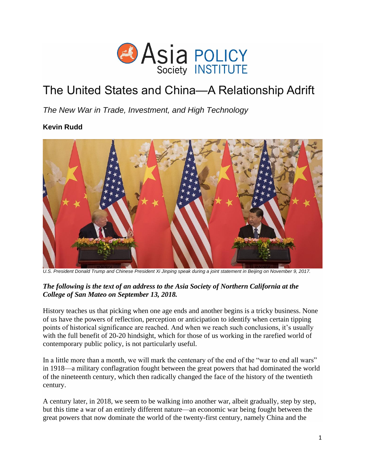

# The United States and China—A Relationship Adrift

*The New War in Trade, Investment, and High Technology*

# **Kevin Rudd**



*U.S. President Donald Trump and Chinese President Xi Jinping speak during a joint statement in Beijing on November 9, 2017.*

# *The following is the text of an address to the Asia Society of Northern California at the College of San Mateo on September 13, 2018.*

History teaches us that picking when one age ends and another begins is a tricky business. None of us have the powers of reflection, perception or anticipation to identify when certain tipping points of historical significance are reached. And when we reach such conclusions, it's usually with the full benefit of 20-20 hindsight, which for those of us working in the rarefied world of contemporary public policy, is not particularly useful.

In a little more than a month, we will mark the centenary of the end of the "war to end all wars" in 1918—a military conflagration fought between the great powers that had dominated the world of the nineteenth century, which then radically changed the face of the history of the twentieth century.

A century later, in 2018, we seem to be walking into another war, albeit gradually, step by step, but this time a war of an entirely different nature—an economic war being fought between the great powers that now dominate the world of the twenty-first century, namely China and the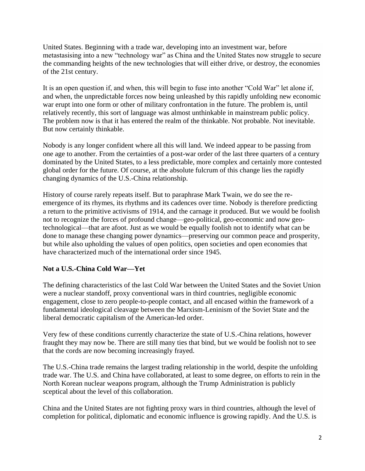United States. Beginning with a trade war, developing into an investment war, before metastasising into a new "technology war" as China and the United States now struggle to secure the commanding heights of the new technologies that will either drive, or destroy, the economies of the 21st century.

It is an open question if, and when, this will begin to fuse into another "Cold War" let alone if, and when, the unpredictable forces now being unleashed by this rapidly unfolding new economic war erupt into one form or other of military confrontation in the future. The problem is, until relatively recently, this sort of language was almost unthinkable in mainstream public policy. The problem now is that it has entered the realm of the thinkable. Not probable. Not inevitable. But now certainly thinkable.

Nobody is any longer confident where all this will land. We indeed appear to be passing from one age to another. From the certainties of a post-war order of the last three quarters of a century dominated by the United States, to a less predictable, more complex and certainly more contested global order for the future. Of course, at the absolute fulcrum of this change lies the rapidly changing dynamics of the U.S.-China relationship.

History of course rarely repeats itself. But to paraphrase Mark Twain, we do see the reemergence of its rhymes, its rhythms and its cadences over time. Nobody is therefore predicting a return to the primitive activisms of 1914, and the carnage it produced. But we would be foolish not to recognize the forces of profound change—geo-political, geo-economic and now geotechnological—that are afoot. Just as we would be equally foolish not to identify what can be done to manage these changing power dynamics—preserving our common peace and prosperity, but while also upholding the values of open politics, open societies and open economies that have characterized much of the international order since 1945.

# **Not a U.S.-China Cold War—Yet**

The defining characteristics of the last Cold War between the United States and the Soviet Union were a nuclear standoff, proxy conventional wars in third countries, negligible economic engagement, close to zero people-to-people contact, and all encased within the framework of a fundamental ideological cleavage between the Marxism-Leninism of the Soviet State and the liberal democratic capitalism of the American-led order.

Very few of these conditions currently characterize the state of U.S.-China relations, however fraught they may now be. There are still many ties that bind, but we would be foolish not to see that the cords are now becoming increasingly frayed.

The U.S.-China trade remains the largest trading relationship in the world, despite the unfolding trade war. The U.S. and China have collaborated, at least to some degree, on efforts to rein in the North Korean nuclear weapons program, although the Trump Administration is publicly sceptical about the level of this collaboration.

China and the United States are not fighting proxy wars in third countries, although the level of completion for political, diplomatic and economic influence is growing rapidly. And the U.S. is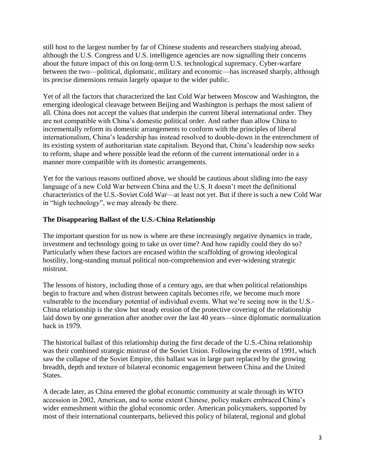still host to the largest number by far of Chinese students and researchers studying abroad, although the U.S. Congress and U.S. intelligence agencies are now signalling their concerns about the future impact of this on long-term U.S. technological supremacy. Cyber-warfare between the two—political, diplomatic, military and economic—has increased sharply, although its precise dimensions remain largely opaque to the wider public.

Yet of all the factors that characterized the last Cold War between Moscow and Washington, the emerging ideological cleavage between Beijing and Washington is perhaps the most salient of all. China does not accept the values that underpin the current liberal international order. They are not compatible with China's domestic political order. And rather than allow China to incrementally reform its domestic arrangements to conform with the principles of liberal internationalism, China's leadership has instead resolved to double-down in the entrenchment of its existing system of authoritarian state capitalism. Beyond that, China's leadership now seeks to reform, shape and where possible lead the reform of the current international order in a manner more compatible with its domestic arrangements.

Yet for the various reasons outlined above, we should be cautious about sliding into the easy language of a new Cold War between China and the U.S. It doesn't meet the definitional characteristics of the U.S.-Soviet Cold War—at least not yet. But if there is such a new Cold War in "high technology", we may already be there.

## **The Disappearing Ballast of the U.S.-China Relationship**

The important question for us now is where are these increasingly negative dynamics in trade, investment and technology going to take us over time? And how rapidly could they do so? Particularly when these factors are encased within the scaffolding of growing ideological hostility, long-standing mutual political non-comprehension and ever-widening strategic mistrust.

The lessons of history, including those of a century ago, are that when political relationships begin to fracture and when distrust between capitals becomes rife, we become much more vulnerable to the incendiary potential of individual events. What we're seeing now in the U.S.- China relationship is the slow but steady erosion of the protective covering of the relationship laid down by one generation after another over the last 40 years—since diplomatic normalization back in 1979.

The historical ballast of this relationship during the first decade of the U.S.-China relationship was their combined strategic mistrust of the Soviet Union. Following the events of 1991, which saw the collapse of the Soviet Empire, this ballast was in large part replaced by the growing breadth, depth and texture of bilateral economic engagement between China and the United States.

A decade later, as China entered the global economic community at scale through its WTO accession in 2002, American, and to some extent Chinese, policy makers embraced China's wider enmeshment within the global economic order. American policymakers, supported by most of their international counterparts, believed this policy of bilateral, regional and global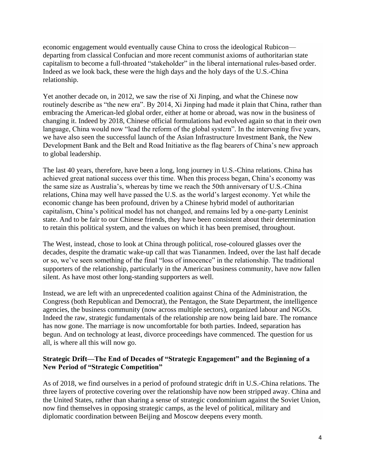economic engagement would eventually cause China to cross the ideological Rubicon departing from classical Confucian and more recent communist axioms of authoritarian state capitalism to become a full-throated "stakeholder" in the liberal international rules-based order. Indeed as we look back, these were the high days and the holy days of the U.S.-China relationship.

Yet another decade on, in 2012, we saw the rise of Xi Jinping, and what the Chinese now routinely describe as "the new era". By 2014, Xi Jinping had made it plain that China, rather than embracing the American-led global order, either at home or abroad, was now in the business of changing it. Indeed by 2018, Chinese official formulations had evolved again so that in their own language, China would now "lead the reform of the global system". In the intervening five years, we have also seen the successful launch of the Asian Infrastructure Investment Bank, the New Development Bank and the Belt and Road Initiative as the flag bearers of China's new approach to global leadership.

The last 40 years, therefore, have been a long, long journey in U.S.-China relations. China has achieved great national success over this time. When this process began, China's economy was the same size as Australia's, whereas by time we reach the 50th anniversary of U.S.-China relations, China may well have passed the U.S. as the world's largest economy. Yet while the economic change has been profound, driven by a Chinese hybrid model of authoritarian capitalism, China's political model has not changed, and remains led by a one-party Leninist state. And to be fair to our Chinese friends, they have been consistent about their determination to retain this political system, and the values on which it has been premised, throughout.

The West, instead, chose to look at China through political, rose-coloured glasses over the decades, despite the dramatic wake-up call that was Tiananmen. Indeed, over the last half decade or so, we've seen something of the final "loss of innocence" in the relationship. The traditional supporters of the relationship, particularly in the American business community, have now fallen silent. As have most other long-standing supporters as well.

Instead, we are left with an unprecedented coalition against China of the Administration, the Congress (both Republican and Democrat), the Pentagon, the State Department, the intelligence agencies, the business community (now across multiple sectors), organized labour and NGOs. Indeed the raw, strategic fundamentals of the relationship are now being laid bare. The romance has now gone. The marriage is now uncomfortable for both parties. Indeed, separation has begun. And on technology at least, divorce proceedings have commenced. The question for us all, is where all this will now go.

## **Strategic Drift—The End of Decades of "Strategic Engagement" and the Beginning of a New Period of "Strategic Competition"**

As of 2018, we find ourselves in a period of profound strategic drift in U.S.-China relations. The three layers of protective covering over the relationship have now been stripped away. China and the United States, rather than sharing a sense of strategic condominium against the Soviet Union, now find themselves in opposing strategic camps, as the level of political, military and diplomatic coordination between Beijing and Moscow deepens every month.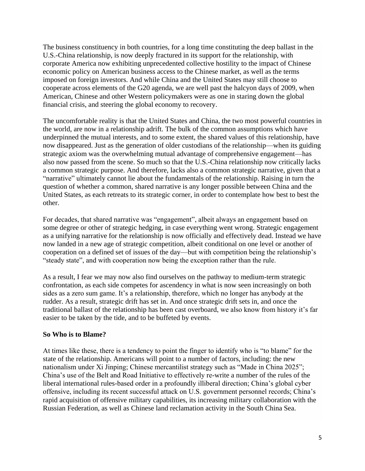The business constituency in both countries, for a long time constituting the deep ballast in the U.S.-China relationship, is now deeply fractured in its support for the relationship, with corporate America now exhibiting unprecedented collective hostility to the impact of Chinese economic policy on American business access to the Chinese market, as well as the terms imposed on foreign investors. And while China and the United States may still choose to cooperate across elements of the G20 agenda, we are well past the halcyon days of 2009, when American, Chinese and other Western policymakers were as one in staring down the global financial crisis, and steering the global economy to recovery.

The uncomfortable reality is that the United States and China, the two most powerful countries in the world, are now in a relationship adrift. The bulk of the common assumptions which have underpinned the mutual interests, and to some extent, the shared values of this relationship, have now disappeared. Just as the generation of older custodians of the relationship—when its guiding strategic axiom was the overwhelming mutual advantage of comprehensive engagement—has also now passed from the scene. So much so that the U.S.-China relationship now critically lacks a common strategic purpose. And therefore, lacks also a common strategic narrative, given that a "narrative" ultimately cannot lie about the fundamentals of the relationship. Raising in turn the question of whether a common, shared narrative is any longer possible between China and the United States, as each retreats to its strategic corner, in order to contemplate how best to best the other.

For decades, that shared narrative was "engagement", albeit always an engagement based on some degree or other of strategic hedging, in case everything went wrong. Strategic engagement as a unifying narrative for the relationship is now officially and effectively dead. Instead we have now landed in a new age of strategic competition, albeit conditional on one level or another of cooperation on a defined set of issues of the day—but with competition being the relationship's "steady state", and with cooperation now being the exception rather than the rule.

As a result, I fear we may now also find ourselves on the pathway to medium-term strategic confrontation, as each side competes for ascendency in what is now seen increasingly on both sides as a zero sum game. It's a relationship, therefore, which no longer has anybody at the rudder. As a result, strategic drift has set in. And once strategic drift sets in, and once the traditional ballast of the relationship has been cast overboard, we also know from history it's far easier to be taken by the tide, and to be buffeted by events.

#### **So Who is to Blame?**

At times like these, there is a tendency to point the finger to identify who is "to blame" for the state of the relationship. Americans will point to a number of factors, including: the new nationalism under Xi Jinping; Chinese mercantilist strategy such as "Made in China 2025"; China's use of the Belt and Road Initiative to effectively re-write a number of the rules of the liberal international rules-based order in a profoundly illiberal direction; China's global cyber offensive, including its recent successful attack on U.S. government personnel records; China's rapid acquisition of offensive military capabilities, its increasing military collaboration with the Russian Federation, as well as Chinese land reclamation activity in the South China Sea.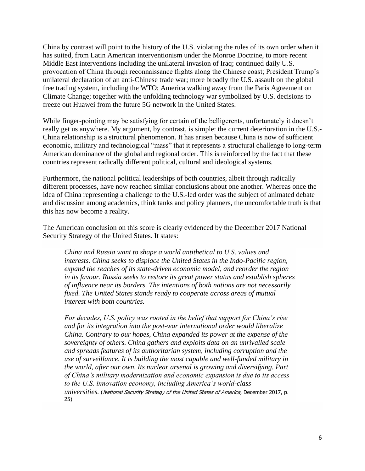China by contrast will point to the history of the U.S. violating the rules of its own order when it has suited, from Latin American interventionism under the Monroe Doctrine, to more recent Middle East interventions including the unilateral invasion of Iraq; continued daily U.S. provocation of China through reconnaissance flights along the Chinese coast; President Trump's unilateral declaration of an anti-Chinese trade war; more broadly the U.S. assault on the global free trading system, including the WTO; America walking away from the Paris Agreement on Climate Change; together with the unfolding technology war symbolized by U.S. decisions to freeze out Huawei from the future 5G network in the United States.

While finger-pointing may be satisfying for certain of the belligerents, unfortunately it doesn't really get us anywhere. My argument, by contrast, is simple: the current deterioration in the U.S.- China relationship is a structural phenomenon. It has arisen because China is now of sufficient economic, military and technological "mass" that it represents a structural challenge to long-term American dominance of the global and regional order. This is reinforced by the fact that these countries represent radically different political, cultural and ideological systems.

Furthermore, the national political leaderships of both countries, albeit through radically different processes, have now reached similar conclusions about one another. Whereas once the idea of China representing a challenge to the U.S.-led order was the subject of animated debate and discussion among academics, think tanks and policy planners, the uncomfortable truth is that this has now become a reality.

The American conclusion on this score is clearly evidenced by the December 2017 National Security Strategy of the United States. It states:

*China and Russia want to shape a world antithetical to U.S. values and interests. China seeks to displace the United States in the Indo-Pacific region, expand the reaches of its state-driven economic model, and reorder the region in its favour. Russia seeks to restore its great power status and establish spheres of influence near its borders. The intentions of both nations are not necessarily fixed. The United States stands ready to cooperate across areas of mutual interest with both countries.*

*For decades, U.S. policy was rooted in the belief that support for China's rise and for its integration into the post-war international order would liberalize China. Contrary to our hopes, China expanded its power at the expense of the sovereignty of others. China gathers and exploits data on an unrivalled scale and spreads features of its authoritarian system, including corruption and the use of surveillance. It is building the most capable and well-funded military in the world, after our own. Its nuclear arsenal is growing and diversifying. Part of China's military modernization and economic expansion is due to its access to the U.S. innovation economy, including America's world-class universities.* (National Security Strategy of the United States of America, December 2017, p. 25)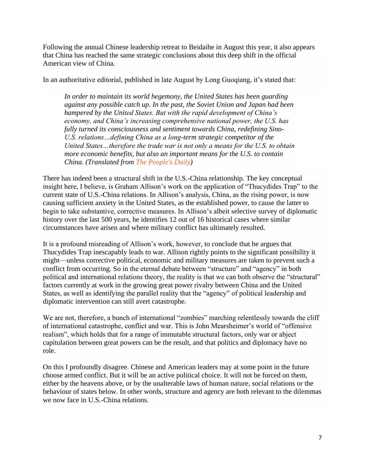Following the annual Chinese leadership retreat to Beidaihe in August this year, it also appears that China has reached the same strategic conclusions about this deep shift in the official American view of China.

In an authoritative editorial, published in late August by Long Guoqiang, it's stated that:

*In order to maintain its world hegemony, the United States has been guarding against any possible catch up. In the past, the Soviet Union and Japan had been hampered by the United States. But with the rapid development of China's economy, and China's increasing comprehensive national power, the U.S. has fully turned its consciousness and sentiment towards China, redefining Sino-U.S. relations…defining China as a long-term strategic competitor of the United States…therefore the trade war is not only a means for the U.S. to obtain more economic benefits, but also an important means for the U.S. to contain China. (Translated from [The People's Daily\)](http://opinion.people.com.cn/n1/2018/0829/c1003-30257035.html)*

There has indeed been a structural shift in the U.S.-China relationship. The key conceptual insight here, I believe, is Graham Allison's work on the application of "Thucydides Trap" to the current state of U.S.-China relations. In Allison's analysis, China, as the rising power, is now causing sufficient anxiety in the United States, as the established power, to cause the latter to begin to take substantive, corrective measures. In Allison's albeit selective survey of diplomatic history over the last 500 years, he identifies 12 out of 16 historical cases where similar circumstances have arisen and where military conflict has ultimately resulted.

It is a profound misreading of Allison's work, however, to conclude that he argues that Thucydides Trap inescapably leads to war. Allison rightly points to the significant possibility it might—unless corrective political, economic and military measures are taken to prevent such a conflict from occurring. So in the eternal debate between "structure" and "agency" in both political and international relations theory, the reality is that we can both observe the "structural" factors currently at work in the growing great power rivalry between China and the United States, as well as identifying the parallel reality that the "agency" of political leadership and diplomatic intervention can still avert catastrophe.

We are not, therefore, a bunch of international "zombies" marching relentlessly towards the cliff of international catastrophe, conflict and war. This is John Mearsheimer's world of "offensive realism", which holds that for a range of immutable structural factors, only war or abject capitulation between great powers can be the result, and that politics and diplomacy have no role.

On this I profoundly disagree. Chinese and American leaders may at some point in the future choose armed conflict. But it will be an active political choice. It will not be forced on them, either by the heavens above, or by the unalterable laws of human nature, social relations or the behaviour of states below. In other words, structure and agency are both relevant to the dilemmas we now face in U.S.-China relations.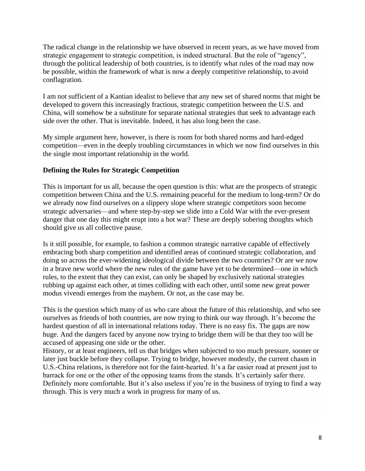The radical change in the relationship we have observed in recent years, as we have moved from strategic engagement to strategic competition, is indeed structural. But the role of "agency", through the political leadership of both countries, is to identify what rules of the road may now be possible, within the framework of what is now a deeply competitive relationship, to avoid conflagration.

I am not sufficient of a Kantian idealist to believe that any new set of shared norms that might be developed to govern this increasingly fractious, strategic competition between the U.S. and China, will somehow be a substitute for separate national strategies that seek to advantage each side over the other. That is inevitable. Indeed, it has also long been the case.

My simple argument here, however, is there is room for both shared norms and hard-edged competition—even in the deeply troubling circumstances in which we now find ourselves in this the single most important relationship in the world.

#### **Defining the Rules for Strategic Competition**

This is important for us all, because the open question is this: what are the prospects of strategic competition between China and the U.S. remaining peaceful for the medium to long-term? Or do we already now find ourselves on a slippery slope where strategic competitors soon become strategic adversaries—and where step-by-step we slide into a Cold War with the ever-present danger that one day this might erupt into a hot war? These are deeply sobering thoughts which should give us all collective pause.

Is it still possible, for example, to fashion a common strategic narrative capable of effectively embracing both sharp competition and identified areas of continued strategic collaboration, and doing so across the ever-widening ideological divide between the two countries? Or are we now in a brave new world where the new rules of the game have yet to be determined—one in which rules, to the extent that they can exist, can only be shaped by exclusively national strategies rubbing up against each other, at times colliding with each other, until some new great power modus vivendi emerges from the mayhem. Or not, as the case may be.

This is the question which many of us who care about the future of this relationship, and who see ourselves as friends of both countries, are now trying to think our way through. It's become the hardest question of all in international relations today. There is no easy fix. The gaps are now huge. And the dangers faced by anyone now trying to bridge them will be that they too will be accused of appeasing one side or the other.

History, or at least engineers, tell us that bridges when subjected to too much pressure, sooner or later just buckle before they collapse. Trying to bridge, however modestly, the current chasm in U.S.-China relations, is therefore not for the faint-hearted. It's a far easier road at present just to barrack for one or the other of the opposing teams from the stands. It's certainly safer there. Definitely more comfortable. But it's also useless if you're in the business of trying to find a way through. This is very much a work in progress for many of us.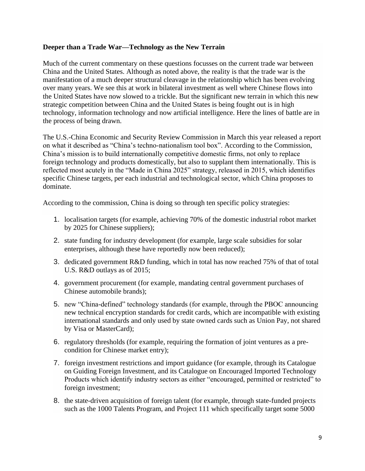#### **Deeper than a Trade War—Technology as the New Terrain**

Much of the current commentary on these questions focusses on the current trade war between China and the United States. Although as noted above, the reality is that the trade war is the manifestation of a much deeper structural cleavage in the relationship which has been evolving over many years. We see this at work in bilateral investment as well where Chinese flows into the United States have now slowed to a trickle. But the significant new terrain in which this new strategic competition between China and the United States is being fought out is in high technology, information technology and now artificial intelligence. Here the lines of battle are in the process of being drawn.

The U.S.-China Economic and Security Review Commission in March this year released a report on what it described as "China's techno-nationalism tool box". According to the Commission, China's mission is to build internationally competitive domestic firms, not only to replace foreign technology and products domestically, but also to supplant them internationally. This is reflected most acutely in the "Made in China 2025" strategy, released in 2015, which identifies specific Chinese targets, per each industrial and technological sector, which China proposes to dominate.

According to the commission, China is doing so through ten specific policy strategies:

- 1. localisation targets (for example, achieving 70% of the domestic industrial robot market by 2025 for Chinese suppliers);
- 2. state funding for industry development (for example, large scale subsidies for solar enterprises, although these have reportedly now been reduced);
- 3. dedicated government R&D funding, which in total has now reached 75% of that of total U.S. R&D outlays as of 2015;
- 4. government procurement (for example, mandating central government purchases of Chinese automobile brands);
- 5. new "China-defined" technology standards (for example, through the PBOC announcing new technical encryption standards for credit cards, which are incompatible with existing international standards and only used by state owned cards such as Union Pay, not shared by Visa or MasterCard);
- 6. regulatory thresholds (for example, requiring the formation of joint ventures as a precondition for Chinese market entry);
- 7. foreign investment restrictions and import guidance (for example, through its Catalogue on Guiding Foreign Investment, and its Catalogue on Encouraged Imported Technology Products which identify industry sectors as either "encouraged, permitted or restricted" to foreign investment;
- 8. the state-driven acquisition of foreign talent (for example, through state-funded projects such as the 1000 Talents Program, and Project 111 which specifically target some 5000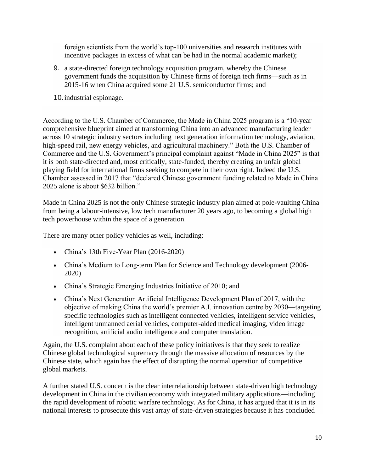foreign scientists from the world's top-100 universities and research institutes with incentive packages in excess of what can be had in the normal academic market);

9. a state-directed foreign technology acquisition program, whereby the Chinese government funds the acquisition by Chinese firms of foreign tech firms—such as in 2015-16 when China acquired some 21 U.S. semiconductor firms; and

10.industrial espionage.

According to the U.S. Chamber of Commerce, the Made in China 2025 program is a "10-year comprehensive blueprint aimed at transforming China into an advanced manufacturing leader across 10 strategic industry sectors including next generation information technology, aviation, high-speed rail, new energy vehicles, and agricultural machinery." Both the U.S. Chamber of Commerce and the U.S. Government's principal complaint against "Made in China 2025" is that it is both state-directed and, most critically, state-funded, thereby creating an unfair global playing field for international firms seeking to compete in their own right. Indeed the U.S. Chamber assessed in 2017 that "declared Chinese government funding related to Made in China 2025 alone is about \$632 billion."

Made in China 2025 is not the only Chinese strategic industry plan aimed at pole-vaulting China from being a labour-intensive, low tech manufacturer 20 years ago, to becoming a global high tech powerhouse within the space of a generation.

There are many other policy vehicles as well, including:

- China's 13th Five-Year Plan (2016-2020)
- China's Medium to Long-term Plan for Science and Technology development (2006- 2020)
- China's Strategic Emerging Industries Initiative of 2010; and
- China's Next Generation Artificial Intelligence Development Plan of 2017, with the objective of making China the world's premier A.I. innovation centre by 2030—targeting specific technologies such as intelligent connected vehicles, intelligent service vehicles, intelligent unmanned aerial vehicles, computer-aided medical imaging, video image recognition, artificial audio intelligence and computer translation.

Again, the U.S. complaint about each of these policy initiatives is that they seek to realize Chinese global technological supremacy through the massive allocation of resources by the Chinese state, which again has the effect of disrupting the normal operation of competitive global markets.

A further stated U.S. concern is the clear interrelationship between state-driven high technology development in China in the civilian economy with integrated military applications—including the rapid development of robotic warfare technology. As for China, it has argued that it is in its national interests to prosecute this vast array of state-driven strategies because it has concluded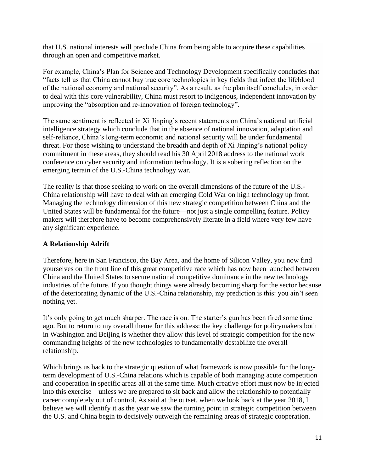that U.S. national interests will preclude China from being able to acquire these capabilities through an open and competitive market.

For example, China's Plan for Science and Technology Development specifically concludes that "facts tell us that China cannot buy true core technologies in key fields that infect the lifeblood of the national economy and national security". As a result, as the plan itself concludes, in order to deal with this core vulnerability, China must resort to indigenous, independent innovation by improving the "absorption and re-innovation of foreign technology".

The same sentiment is reflected in Xi Jinping's recent statements on China's national artificial intelligence strategy which conclude that in the absence of national innovation, adaptation and self-reliance, China's long-term economic and national security will be under fundamental threat. For those wishing to understand the breadth and depth of Xi Jinping's national policy commitment in these areas, they should read his 30 April 2018 address to the national work conference on cyber security and information technology. It is a sobering reflection on the emerging terrain of the U.S.-China technology war.

The reality is that those seeking to work on the overall dimensions of the future of the U.S.- China relationship will have to deal with an emerging Cold War on high technology up front. Managing the technology dimension of this new strategic competition between China and the United States will be fundamental for the future—not just a single compelling feature. Policy makers will therefore have to become comprehensively literate in a field where very few have any significant experience.

## **A Relationship Adrift**

Therefore, here in San Francisco, the Bay Area, and the home of Silicon Valley, you now find yourselves on the front line of this great competitive race which has now been launched between China and the United States to secure national competitive dominance in the new technology industries of the future. If you thought things were already becoming sharp for the sector because of the deteriorating dynamic of the U.S.-China relationship, my prediction is this: you ain't seen nothing yet.

It's only going to get much sharper. The race is on. The starter's gun has been fired some time ago. But to return to my overall theme for this address: the key challenge for policymakers both in Washington and Beijing is whether they allow this level of strategic competition for the new commanding heights of the new technologies to fundamentally destabilize the overall relationship.

Which brings us back to the strategic question of what framework is now possible for the longterm development of U.S.-China relations which is capable of both managing acute competition and cooperation in specific areas all at the same time. Much creative effort must now be injected into this exercise—unless we are prepared to sit back and allow the relationship to potentially career completely out of control. As said at the outset, when we look back at the year 2018, I believe we will identify it as the year we saw the turning point in strategic competition between the U.S. and China begin to decisively outweigh the remaining areas of strategic cooperation.